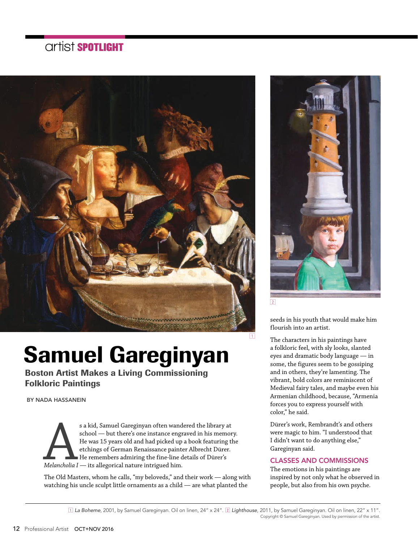### **artist** SPOTLIGHT



# Samuel Gareginyan

Boston Artist Makes a Living Commissioning Folkloric Paintings

BY NADA HASSANEIN

 $\begin{tabular}{|l|l|} \hline & \multicolumn{1}{|l|}{} \hline & \multicolumn{1}{|l|}{} \hline & \multicolumn{1}{|l|}{} \hline & \multicolumn{1}{|l|}{} \hline & \multicolumn{1}{|l|}{} \hline & \multicolumn{1}{|l|}{} \hline & \multicolumn{1}{|l|}{} \hline & \multicolumn{1}{|l|}{} \hline & \multicolumn{1}{|l|}{} \hline & \multicolumn{1}{|l|}{} \hline & \multicolumn{1}{|l|}{} \hline & \multicolumn{1}{|l|}{} \hline & \multicolumn{1}{|l|}{}$ school — but there's one instance engraved in his memory. He was 15 years old and had picked up a book featuring the etchings of German Renaissance painter Albrecht Dürer. He remembers admiring the fine-line details of Dürer's *Melancholia I* — its allegorical nature intrigued him.

The Old Masters, whom he calls, "my beloveds," and their work — along with watching his uncle sculpt little ornaments as a child — are what planted the



seeds in his youth that would make him flourish into an artist.

The characters in his paintings have a folkloric feel, with sly looks, slanted eyes and dramatic body language — in some, the figures seem to be gossiping and in others, they're lamenting. The vibrant, bold colors are reminiscent of Medieval fairy tales, and maybe even his Armenian childhood, because, "Armenia forces you to express yourself with color," he said.

Dürer's work, Rembrandt's and others were magic to him. "I understood that I didn't want to do anything else," Gareginyan said.

#### CLASSES AND COMMISSIONS

The emotions in his paintings are inspired by not only what he observed in people, but also from his own psyche.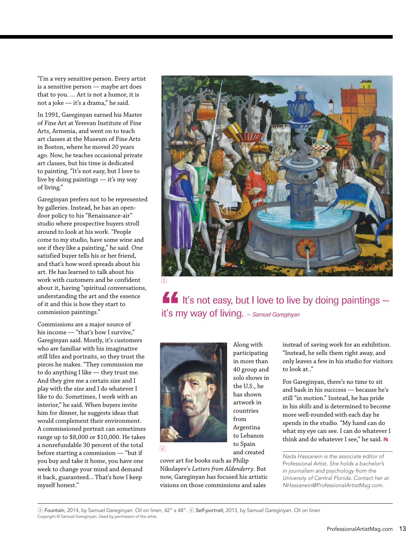"I'm a very sensitive person. Every artist is a sensitive person — maybe art does that to you. … Art is not a humor, it is not a joke — it's a drama," he said.

In 1991, Gareginyan earned his Master of Fine Art at Yerevan Institute of Fine Arts, Armenia, and went on to teach art classes at the Museum of Fine Arts in Boston, where he moved 20 years ago. Now, he teaches occasional private art classes, but his time is dedicated to painting. "It's not easy, but I love to live by doing paintings — it's my way of living."

Gareginyan prefers not to be represented by galleries. Instead, he has an opendoor policy to his "Renaissance-air" studio where prospective buyers stroll around to look at his work. "People come to my studio, have some wine and see if they like a painting," he said. One satisfied buyer tells his or her friend, and that's how word spreads about his art. He has learned to talk about his work with customers and be confident about it, having "spiritual conversations, understanding the art and the essence of it and this is how they start to commission paintings."

Commissions are a major source of his income — "that's how I survive," Gareginyan said. Mostly, it's customers who are familiar with his imaginative still lifes and portraits, so they trust the pieces he makes. "They commission me to do anything I like — they trust me. And they give me a certain size and I play with the size and I do whatever I like to do. Sometimes, I work with an interior," he said. When buyers invite him for dinner, he suggests ideas that would complement their environment. A commissioned portrait can sometimes range up to \$8,000 or \$10,000. He takes a nonrefundable 30 percent of the total before starting a commission — "but if you buy and take it home, you have one week to change your mind and demand it back, guaranteed... That's how I keep myself honest."



It's not easy, but I love to live by doing paintings it's my way of living. *~ Samuel Gareginyan*



cover art for books such as Philip Nikolayev's *Letters from Aldenderry*. But now, Gareginyan has focused his artistic visions on those commissions and sales

4

Along with participating in more than 40 group and solo shows in the U.S., he has shown artwork in countries from Argentina to Lebanon to Spain and created

instead of saving work for an exhibition. "Instead, he sells them right away, and only leaves a few in his studio for visitors to look at.."

For Gareginyan, there's no time to sit and bask in his succcess — because he's still "in motion." Instead, he has pride in his *skills* and is determined to become more well-rounded with each day he spends in the studio. "My hand can do what my eye can see. I can do whatever I think and do whatever I see," he said. PA

*Nada Hassanein is the associate editor of*  Professional Artist*. She holds a bachelor's in journalism and psychology from the University of Central Florida. Contact her at NHassanein@ProfessionalArtistMag.com.*

3 *Fountain*, 2014, by Samuel Gareginyan. Oil on linen, 42" x 48". 4 *Self-portrait*, 2013, by Samuel Gareginyan. Oil on linen Copyright © Samuel Gareginyan. Used by permission of the artist.